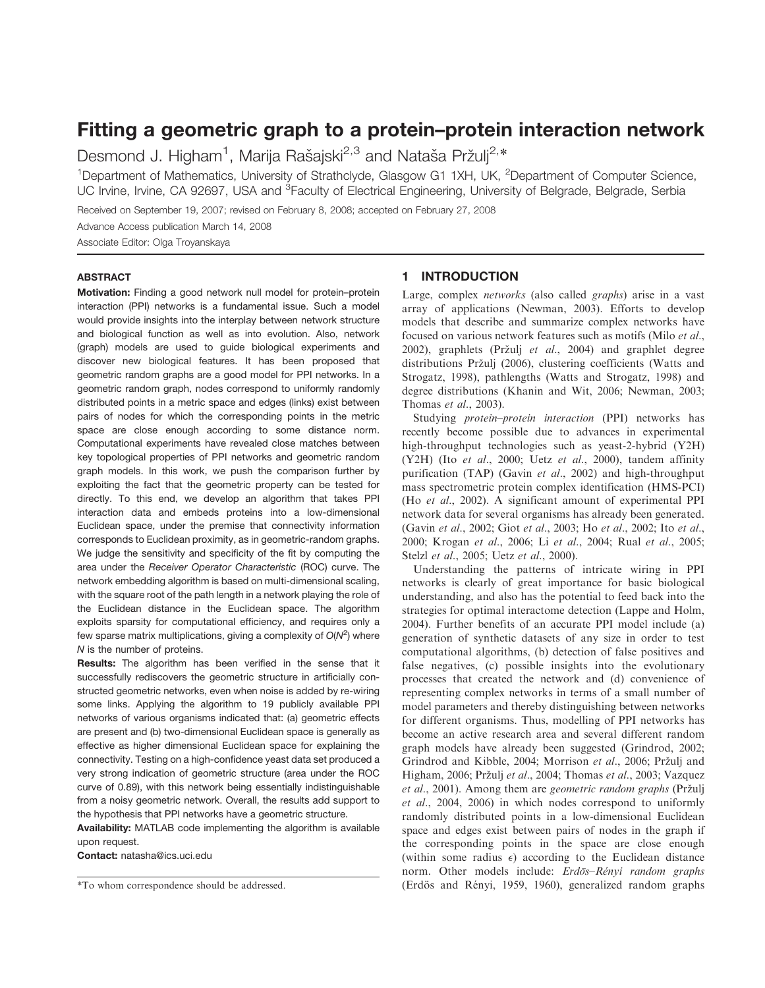# Fitting a geometric graph to a protein–protein interaction network

Desmond J. Higham<sup>1</sup>, Marija Rašajski<sup>2,3</sup> and Nataša Pržulj<sup>2,\*</sup>

<sup>1</sup>Department of Mathematics, University of Strathclyde, Glasgow G1 1XH, UK, <sup>2</sup>Department of Computer Science, UC Irvine, Irvine, CA 92697, USA and <sup>3</sup>Faculty of Electrical Engineering, University of Belgrade, Belgrade, Serbia

Received on September 19, 2007; revised on February 8, 2008; accepted on February 27, 2008

Advance Access publication March 14, 2008

Associate Editor: Olga Troyanskaya

#### ABSTRACT

Motivation: Finding a good network null model for protein–protein interaction (PPI) networks is a fundamental issue. Such a model would provide insights into the interplay between network structure and biological function as well as into evolution. Also, network (graph) models are used to guide biological experiments and discover new biological features. It has been proposed that geometric random graphs are a good model for PPI networks. In a geometric random graph, nodes correspond to uniformly randomly distributed points in a metric space and edges (links) exist between pairs of nodes for which the corresponding points in the metric space are close enough according to some distance norm. Computational experiments have revealed close matches between key topological properties of PPI networks and geometric random graph models. In this work, we push the comparison further by exploiting the fact that the geometric property can be tested for directly. To this end, we develop an algorithm that takes PPI interaction data and embeds proteins into a low-dimensional Euclidean space, under the premise that connectivity information corresponds to Euclidean proximity, as in geometric-random graphs. We judge the sensitivity and specificity of the fit by computing the area under the Receiver Operator Characteristic (ROC) curve. The network embedding algorithm is based on multi-dimensional scaling, with the square root of the path length in a network playing the role of the Euclidean distance in the Euclidean space. The algorithm exploits sparsity for computational efficiency, and requires only a few sparse matrix multiplications, giving a complexity of  $O(N^2)$  where N is the number of proteins.

Results: The algorithm has been verified in the sense that it successfully rediscovers the geometric structure in artificially constructed geometric networks, even when noise is added by re-wiring some links. Applying the algorithm to 19 publicly available PPI networks of various organisms indicated that: (a) geometric effects are present and (b) two-dimensional Euclidean space is generally as effective as higher dimensional Euclidean space for explaining the connectivity. Testing on a high-confidence yeast data set produced a very strong indication of geometric structure (area under the ROC curve of 0.89), with this network being essentially indistinguishable from a noisy geometric network. Overall, the results add support to the hypothesis that PPI networks have a geometric structure.

Availability: MATLAB code implementing the algorithm is available upon request.

Contact: natasha@ics.uci.edu

#### 1 INTRODUCTION

Large, complex networks (also called graphs) arise in a vast array of applications (Newman, 2003). Efforts to develop models that describe and summarize complex networks have focused on various network features such as motifs (Milo *et al.*, 2002), graphlets (Pržuli et al., 2004) and graphlet degree distributions Pržulj (2006), clustering coefficients (Watts and Strogatz, 1998), pathlengths (Watts and Strogatz, 1998) and degree distributions (Khanin and Wit, 2006; Newman, 2003; Thomas et al., 2003).

Studying protein–protein interaction (PPI) networks has recently become possible due to advances in experimental high-throughput technologies such as yeast-2-hybrid (Y2H) (Y2H) (Ito et al., 2000; Uetz et al., 2000), tandem affinity purification (TAP) (Gavin et al., 2002) and high-throughput mass spectrometric protein complex identification (HMS-PCI) (Ho et al., 2002). A significant amount of experimental PPI network data for several organisms has already been generated. (Gavin et al., 2002; Giot et al., 2003; Ho et al., 2002; Ito et al., 2000; Krogan et al., 2006; Li et al., 2004; Rual et al., 2005; Stelzl *et al.*, 2005; Uetz *et al.*, 2000).

Understanding the patterns of intricate wiring in PPI networks is clearly of great importance for basic biological understanding, and also has the potential to feed back into the strategies for optimal interactome detection (Lappe and Holm, 2004). Further benefits of an accurate PPI model include (a) generation of synthetic datasets of any size in order to test computational algorithms, (b) detection of false positives and false negatives, (c) possible insights into the evolutionary processes that created the network and (d) convenience of representing complex networks in terms of a small number of model parameters and thereby distinguishing between networks for different organisms. Thus, modelling of PPI networks has become an active research area and several different random graph models have already been suggested (Grindrod, 2002; Grindrod and Kibble, 2004; Morrison et al., 2006; Pržulj and Higham, 2006; Pržulj et al., 2004; Thomas et al., 2003; Vazquez et al., 2001). Among them are geometric random graphs (Pržulj et al., 2004, 2006) in which nodes correspond to uniformly randomly distributed points in a low-dimensional Euclidean space and edges exist between pairs of nodes in the graph if the corresponding points in the space are close enough (within some radius  $\epsilon$ ) according to the Euclidean distance norm. Other models include: Erdös–Rényi random graphs \*To whom correspondence should be addressed. (Erdo¨s and Re´nyi, 1959, 1960), generalized random graphs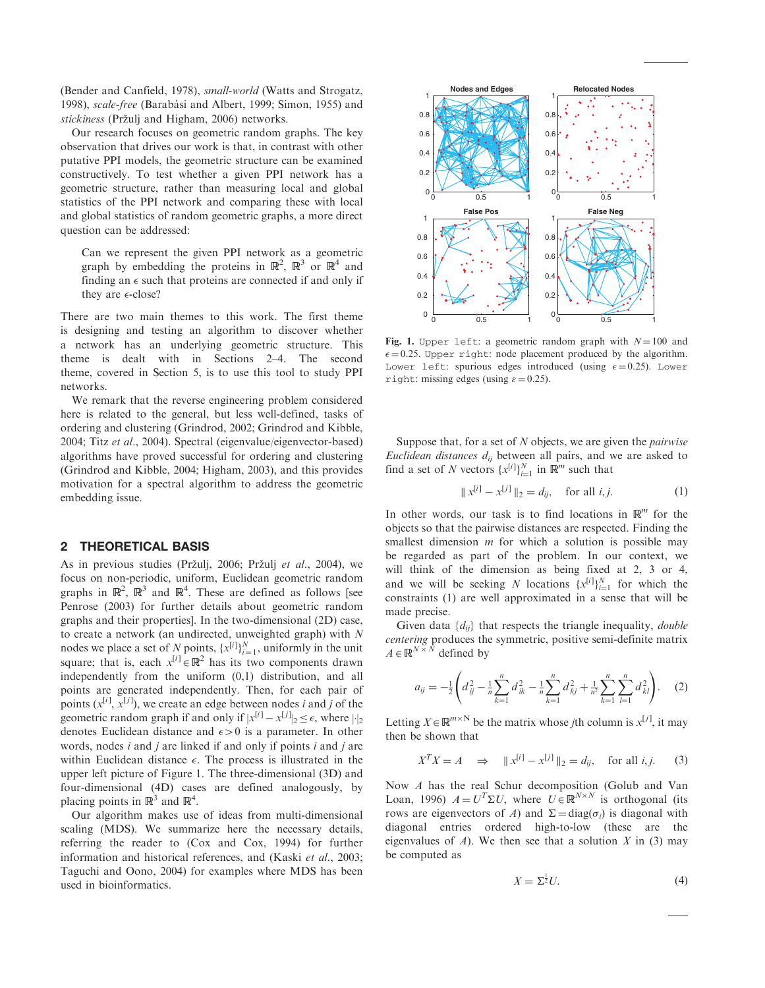(Bender and Canfield, 1978), small-world (Watts and Strogatz, 1998), scale-free (Barabási and Albert, 1999; Simon, 1955) and stickiness (Pržuli and Higham, 2006) networks.

Our research focuses on geometric random graphs. The key observation that drives our work is that, in contrast with other putative PPI models, the geometric structure can be examined constructively. To test whether a given PPI network has a geometric structure, rather than measuring local and global statistics of the PPI network and comparing these with local and global statistics of random geometric graphs, a more direct question can be addressed:

Can we represent the given PPI network as a geometric graph by embedding the proteins in  $\mathbb{R}^2$ ,  $\mathbb{R}^3$  or  $\mathbb{R}^4$  and finding an  $\epsilon$  such that proteins are connected if and only if they are  $\epsilon$ -close?

There are two main themes to this work. The first theme is designing and testing an algorithm to discover whether a network has an underlying geometric structure. This theme is dealt with in Sections 2–4. The second theme, covered in Section 5, is to use this tool to study PPI networks.

We remark that the reverse engineering problem considered here is related to the general, but less well-defined, tasks of ordering and clustering (Grindrod, 2002; Grindrod and Kibble, 2004; Titz et al., 2004). Spectral (eigenvalue/eigenvector-based) algorithms have proved successful for ordering and clustering (Grindrod and Kibble, 2004; Higham, 2003), and this provides motivation for a spectral algorithm to address the geometric embedding issue.

#### 2 THEORETICAL BASIS

As in previous studies (Pržulj, 2006; Pržulj et al., 2004), we focus on non-periodic, uniform, Euclidean geometric random graphs in  $\mathbb{R}^2$ ,  $\mathbb{R}^3$  and  $\mathbb{R}^4$ . These are defined as follows [see Penrose (2003) for further details about geometric random graphs and their properties]. In the two-dimensional (2D) case, to create a network (an undirected, unweighted graph) with  $N$ nodes we place a set of N points,  $\{x^{[i]}\}_{i=1}^N$ , uniformly in the unit square; that is, each  $x^{[i]} \in \mathbb{R}^2$  has its two components drawn independently from the uniform (0,1) distribution, and all points are generated independently. Then, for each pair of points  $(x^{[i]}, x^{[j]})$ , we create an edge between nodes *i* and *j* of the geometric random graph if and only if  $|x^{[i]} - x^{[j]}|_2 \le \epsilon$ , where  $|\cdot|_2$ denotes Euclidean distance and  $\epsilon > 0$  is a parameter. In other words, nodes  $i$  and  $j$  are linked if and only if points  $i$  and  $j$  are within Euclidean distance  $\epsilon$ . The process is illustrated in the upper left picture of Figure 1. The three-dimensional (3D) and four-dimensional (4D) cases are defined analogously, by placing points in  $\mathbb{R}^3$  and  $\mathbb{R}^4$ .

Our algorithm makes use of ideas from multi-dimensional scaling (MDS). We summarize here the necessary details, referring the reader to (Cox and Cox, 1994) for further information and historical references, and (Kaski et al., 2003; Taguchi and Oono, 2004) for examples where MDS has been used in bioinformatics.



Fig. 1. Upper left: a geometric random graph with  $N = 100$  and  $\epsilon = 0.25$ . Upper right: node placement produced by the algorithm. Lower left: spurious edges introduced (using  $\epsilon = 0.25$ ). Lower right: missing edges (using  $\varepsilon = 0.25$ ).

Suppose that, for a set of  $N$  objects, we are given the *pairwise* Euclidean distances  $d_{ij}$  between all pairs, and we are asked to find a set of N vectors  $\{x^{[i]}\}_{i=1}^N$  in  $\mathbb{R}^m$  such that

$$
\|x^{[i]} - x^{[j]}\|_2 = d_{ij}, \quad \text{for all } i, j. \tag{1}
$$

In other words, our task is to find locations in  $\mathbb{R}^m$  for the objects so that the pairwise distances are respected. Finding the smallest dimension  $m$  for which a solution is possible may be regarded as part of the problem. In our context, we will think of the dimension as being fixed at 2, 3 or 4, and we will be seeking N locations  $\{x^{[i]}\}_{i=1}^N$  for which the constraints (1) are well approximated in a sense that will be made precise.

Given data  $\{d_{ii}\}\$  that respects the triangle inequality, *double* centering produces the symmetric, positive semi-definite matrix  $A \in \mathbb{R}^{N \times N}$  defined by

$$
a_{ij} = -\frac{1}{2} \left( d_{ij}^2 - \frac{1}{n} \sum_{k=1}^n d_{ik}^2 - \frac{1}{n} \sum_{k=1}^n d_{kj}^2 + \frac{1}{n^2} \sum_{k=1}^n \sum_{l=1}^n d_{kl}^2 \right). \tag{2}
$$

Letting  $X \in \mathbb{R}^{m \times N}$  be the matrix whose *j*th column is  $x^{[j]}$ , it may then be shown that

$$
X^T X = A \implies \|x^{[i]} - x^{[j]}\|_2 = d_{ij}, \text{ for all } i, j. \tag{3}
$$

Now A has the real Schur decomposition (Golub and Van Loan, 1996)  $A = U^T \Sigma U$ , where  $U \in \mathbb{R}^{N \times N}$  is orthogonal (its rows are eigenvectors of A) and  $\Sigma = diag(\sigma_i)$  is diagonal with diagonal entries ordered high-to-low (these are the eigenvalues of A). We then see that a solution X in (3) may be computed as

$$
X = \Sigma^{\frac{1}{2}} U. \tag{4}
$$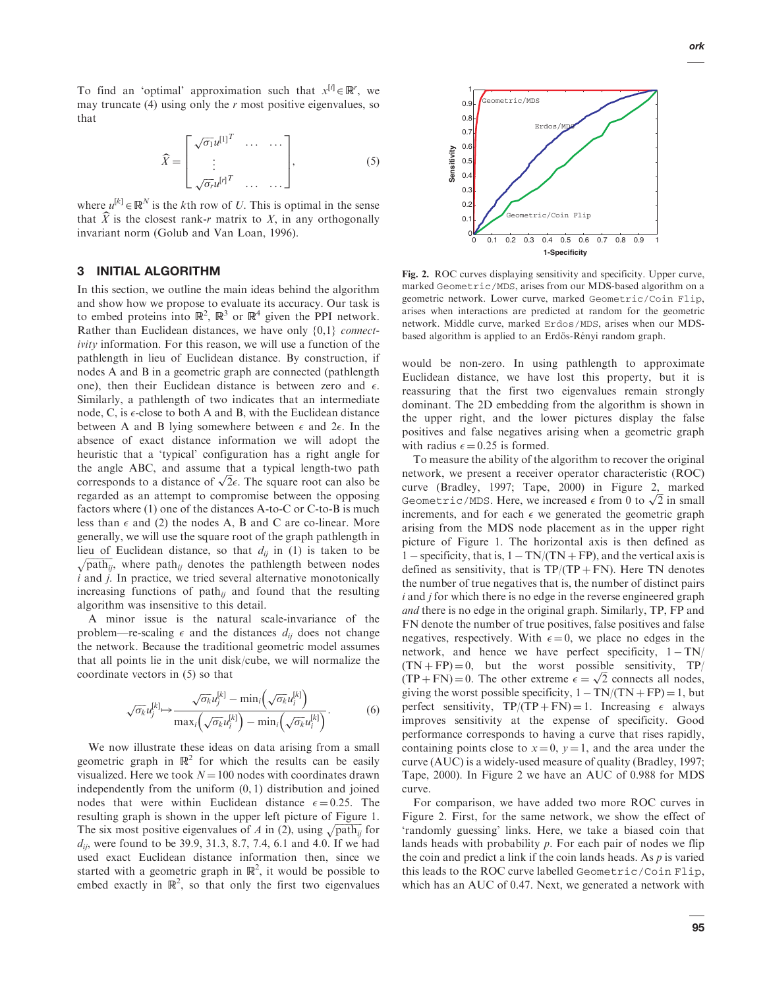To find an 'optimal' approximation such that  $x^{[i]} \in \mathbb{R}^r$ , we may truncate (4) using only the  $r$  most positive eigenvalues, so that

$$
\widehat{X} = \begin{bmatrix}\n\sqrt{\sigma_1} u^{[1]}^T & \cdots & \cdots \\
\vdots & & & \\
\sqrt{\sigma_r} u^{[r]}^T & \cdots & \cdots\n\end{bmatrix},
$$
\n(5)

where  $u^{[k]} \in \mathbb{R}^N$  is the kth row of U. This is optimal in the sense that  $\widehat{X}$  is the closest rank-r matrix to X, in any orthogonally invariant norm (Golub and Van Loan, 1996).

# 3 INITIAL ALGORITHM

In this section, we outline the main ideas behind the algorithm and show how we propose to evaluate its accuracy. Our task is to embed proteins into  $\mathbb{R}^2$ ,  $\mathbb{R}^3$  or  $\mathbb{R}^4$  given the PPI network. Rather than Euclidean distances, we have only  $\{0,1\}$  connectivity information. For this reason, we will use a function of the pathlength in lieu of Euclidean distance. By construction, if nodes A and B in a geometric graph are connected (pathlength one), then their Euclidean distance is between zero and  $\epsilon$ . Similarly, a pathlength of two indicates that an intermediate node,  $C$ , is  $\epsilon$ -close to both A and B, with the Euclidean distance between A and B lying somewhere between  $\epsilon$  and  $2\epsilon$ . In the absence of exact distance information we will adopt the heuristic that a 'typical' configuration has a right angle for the angle ABC, and assume that a typical length-two path corresponds to a distance of  $\sqrt{2}\epsilon$ . The square root can also be regarded as an attempt to compromise between the opposing factors where (1) one of the distances A-to-C or C-to-B is much less than  $\epsilon$  and (2) the nodes A, B and C are co-linear. More generally, we will use the square root of the graph pathlength in lieu of Euclidean distance, so that  $d_{ij}$  in (1) is taken to be  $\sqrt{\text{path}_{ij}}$ , where path<sub>ij</sub> denotes the pathlength between nodes  $i$  and  $j$ . In practice, we tried several alternative monotonically increasing functions of path<sub>ij</sub> and found that the resulting algorithm was insensitive to this detail.

A minor issue is the natural scale-invariance of the problem—re-scaling  $\epsilon$  and the distances  $d_{ij}$  does not change the network. Because the traditional geometric model assumes that all points lie in the unit disk/cube, we will normalize the coordinate vectors in (5) so that

$$
\sqrt{\sigma_k} u_j^{[k]} \mapsto \frac{\sqrt{\sigma_k} u_j^{[k]} - \min_i \left( \sqrt{\sigma_k} u_i^{[k]} \right)}{\max_i \left( \sqrt{\sigma_k} u_i^{[k]} \right) - \min_i \left( \sqrt{\sigma_k} u_i^{[k]} \right)}.
$$
(6)

We now illustrate these ideas on data arising from a small geometric graph in  $\mathbb{R}^2$  for which the results can be easily visualized. Here we took  $N = 100$  nodes with coordinates drawn independently from the uniform (0, 1) distribution and joined nodes that were within Euclidean distance  $\epsilon = 0.25$ . The resulting graph is shown in the upper left picture of Figure 1. The six most positive eigenvalues of A in (2), using  $\sqrt{\text{path}_{ij}}$  for  $d_{ij}$ , were found to be 39.9, 31.3, 8.7, 7.4, 6.1 and 4.0. If we had used exact Euclidean distance information then, since we started with a geometric graph in  $\mathbb{R}^2$ , it would be possible to embed exactly in  $\mathbb{R}^2$ , so that only the first two eigenvalues



Fig. 2. ROC curves displaying sensitivity and specificity. Upper curve, marked Geometric/MDS, arises from our MDS-based algorithm on a geometric network. Lower curve, marked Geometric/Coin Flip, arises when interactions are predicted at random for the geometric network. Middle curve, marked Erdos/MDS, arises when our MDSbased algorithm is applied to an Erdös-Rényi random graph.

would be non-zero. In using pathlength to approximate Euclidean distance, we have lost this property, but it is reassuring that the first two eigenvalues remain strongly dominant. The 2D embedding from the algorithm is shown in the upper right, and the lower pictures display the false positives and false negatives arising when a geometric graph with radius  $\epsilon = 0.25$  is formed.

To measure the ability of the algorithm to recover the original network, we present a receiver operator characteristic (ROC) curve (Bradley, 1997; Tape, 2000) in Figure 2, marked Geometric/MDS. Here, we increased  $\epsilon$  from 0 to  $\sqrt{2}$  in small increments, and for each  $\epsilon$  we generated the geometric graph arising from the MDS node placement as in the upper right picture of Figure 1. The horizontal axis is then defined as 1 – specificity, that is,  $1 - TN/(TN + FP)$ , and the vertical axis is defined as sensitivity, that is  $TP/(TP + FN)$ . Here TN denotes the number of true negatives that is, the number of distinct pairs  $i$  and  $j$  for which there is no edge in the reverse engineered graph and there is no edge in the original graph. Similarly, TP, FP and FN denote the number of true positives, false positives and false negatives, respectively. With  $\epsilon = 0$ , we place no edges in the network, and hence we have perfect specificity,  $1 - TN$ /  $(TN + FP) = 0$ , but the worst possible sensitivity, TP/  $(TP + FN) = 0$ . The other extreme  $\epsilon = \sqrt{2}$  connects all nodes, giving the worst possible specificity,  $1 - TN/(TN + FP) = 1$ , but perfect sensitivity,  $TP/(TP + FN) = 1$ . Increasing  $\epsilon$  always improves sensitivity at the expense of specificity. Good performance corresponds to having a curve that rises rapidly, containing points close to  $x = 0$ ,  $y = 1$ , and the area under the curve (AUC) is a widely-used measure of quality (Bradley, 1997; Tape, 2000). In Figure 2 we have an AUC of 0.988 for MDS curve.

For comparison, we have added two more ROC curves in Figure 2. First, for the same network, we show the effect of 'randomly guessing' links. Here, we take a biased coin that lands heads with probability  $p$ . For each pair of nodes we flip the coin and predict a link if the coin lands heads. As  $p$  is varied this leads to the ROC curve labelled Geometric/Coin Flip, which has an AUC of 0.47. Next, we generated a network with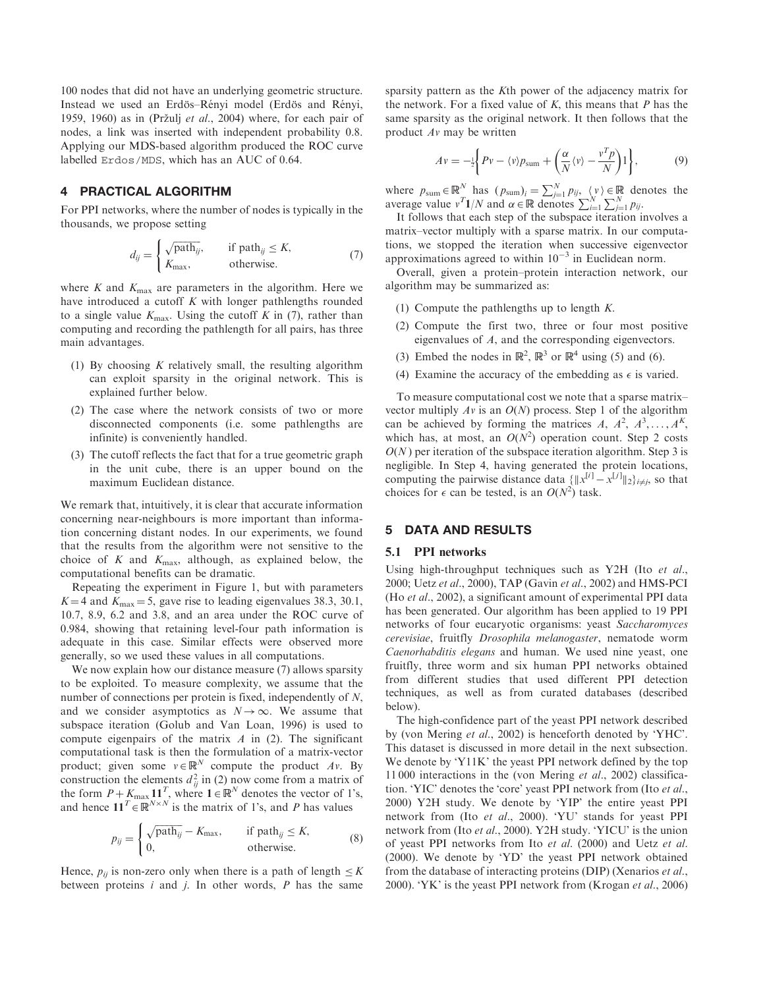100 nodes that did not have an underlying geometric structure. Instead we used an Erdös–Rényi model (Erdös and Rényi, 1959, 1960) as in (Pržulj et al., 2004) where, for each pair of nodes, a link was inserted with independent probability 0.8. Applying our MDS-based algorithm produced the ROC curve labelled Erdos/MDS, which has an AUC of 0.64.

## 4 PRACTICAL ALGORITHM

For PPI networks, where the number of nodes is typically in the thousands, we propose setting

$$
d_{ij} = \begin{cases} \sqrt{\text{path}_{ij}}, & \text{if } \text{path}_{ij} \le K, \\ K_{\text{max}}, & \text{otherwise.} \end{cases} \tag{7}
$$

where K and  $K_{\text{max}}$  are parameters in the algorithm. Here we have introduced a cutoff  $K$  with longer pathlengths rounded to a single value  $K_{\text{max}}$ . Using the cutoff K in (7), rather than computing and recording the pathlength for all pairs, has three main advantages.

- (1) By choosing  $K$  relatively small, the resulting algorithm can exploit sparsity in the original network. This is explained further below.
- (2) The case where the network consists of two or more disconnected components (i.e. some pathlengths are infinite) is conveniently handled.
- (3) The cutoff reflects the fact that for a true geometric graph in the unit cube, there is an upper bound on the maximum Euclidean distance.

We remark that, intuitively, it is clear that accurate information concerning near-neighbours is more important than information concerning distant nodes. In our experiments, we found that the results from the algorithm were not sensitive to the choice of K and  $K_{\text{max}}$ , although, as explained below, the computational benefits can be dramatic.

Repeating the experiment in Figure 1, but with parameters  $K = 4$  and  $K_{\text{max}} = 5$ , gave rise to leading eigenvalues 38.3, 30.1, 10.7, 8.9, 6.2 and 3.8, and an area under the ROC curve of 0.984, showing that retaining level-four path information is adequate in this case. Similar effects were observed more generally, so we used these values in all computations.

We now explain how our distance measure (7) allows sparsity to be exploited. To measure complexity, we assume that the number of connections per protein is fixed, independently of N, and we consider asymptotics as  $N \rightarrow \infty$ . We assume that subspace iteration (Golub and Van Loan, 1996) is used to compute eigenpairs of the matrix  $A$  in (2). The significant computational task is then the formulation of a matrix-vector product; given some  $v \in \mathbb{R}^N$  compute the product Av. By construction the elements  $d_{ij}^2$  in (2) now come from a matrix of the form  $P + K_{\text{max}} \mathbf{11}^T$ , where  $\mathbf{1} \in \mathbb{R}^N$  denotes the vector of 1's, and hence  $\mathbf{11}^T \in \mathbb{R}^{N \times N}$  is the matrix of 1's, and P has values

$$
p_{ij} = \begin{cases} \sqrt{\text{path}_{ij}} - K_{\text{max}}, & \text{if } \text{path}_{ij} \le K, \\ 0, & \text{otherwise.} \end{cases} \tag{8}
$$

Hence,  $p_{ii}$  is non-zero only when there is a path of length  $\leq K$ between proteins  $i$  and  $j$ . In other words,  $P$  has the same sparsity pattern as the Kth power of the adjacency matrix for the network. For a fixed value of  $K$ , this means that  $P$  has the same sparsity as the original network. It then follows that the product Av may be written

$$
Av = -\frac{1}{2} \bigg\{ Pv - \langle v \rangle p_{\text{sum}} + \left( \frac{\alpha}{N} \langle v \rangle - \frac{v^T p}{N} \right) 1 \bigg\},\tag{9}
$$

where  $p_{\text{sum}} \in \mathbb{R}^N$  has  $(p_{\text{sum}})_i = \sum_{j=1}^N p_{ij}$ ,  $\langle v \rangle \in \mathbb{R}$  denotes the average value  $v^T \mathbf{1}/N$  and  $\alpha \in \mathbb{R}$  denotes  $\sum_{i=1}^N \sum_{j=1}^N p_{ij}$ .

It follows that each step of the subspace iteration involves a matrix–vector multiply with a sparse matrix. In our computations, we stopped the iteration when successive eigenvector approximations agreed to within  $10^{-3}$  in Euclidean norm.

Overall, given a protein–protein interaction network, our algorithm may be summarized as:

- (1) Compute the pathlengths up to length  $K$ .
- (2) Compute the first two, three or four most positive eigenvalues of A, and the corresponding eigenvectors.
- (3) Embed the nodes in  $\mathbb{R}^2$ ,  $\mathbb{R}^3$  or  $\mathbb{R}^4$  using (5) and (6).
- (4) Examine the accuracy of the embedding as  $\epsilon$  is varied.

To measure computational cost we note that a sparse matrix– vector multiply  $Av$  is an  $O(N)$  process. Step 1 of the algorithm can be achieved by forming the matrices A,  $A^2$ ,  $A^3$ , ...,  $A^K$ , which has, at most, an  $O(N^2)$  operation count. Step 2 costs  $O(N)$  per iteration of the subspace iteration algorithm. Step 3 is negligible. In Step 4, having generated the protein locations, computing the pairwise distance data  $\{||x^{[i]} - x^{[j]}||_2\}_{i \neq j}$ , so that choices for  $\epsilon$  can be tested, is an  $O(N^2)$  task.

## 5 DATA AND RESULTS

#### 5.1 PPI networks

Using high-throughput techniques such as Y2H (Ito et al., 2000; Uetz et al., 2000), TAP (Gavin et al., 2002) and HMS-PCI (Ho et al., 2002), a significant amount of experimental PPI data has been generated. Our algorithm has been applied to 19 PPI networks of four eucaryotic organisms: yeast Saccharomyces cerevisiae, fruitfly Drosophila melanogaster, nematode worm Caenorhabditis elegans and human. We used nine yeast, one fruitfly, three worm and six human PPI networks obtained from different studies that used different PPI detection techniques, as well as from curated databases (described below).

The high-confidence part of the yeast PPI network described by (von Mering et al., 2002) is henceforth denoted by 'YHC'. This dataset is discussed in more detail in the next subsection. We denote by 'Y11K' the yeast PPI network defined by the top 11 000 interactions in the (von Mering et al., 2002) classification. 'YIC' denotes the 'core' yeast PPI network from (Ito et al., 2000) Y2H study. We denote by 'YIP' the entire yeast PPI network from (Ito et al., 2000). 'YU' stands for yeast PPI network from (Ito et al., 2000). Y2H study. 'YICU' is the union of yeast PPI networks from Ito et al. (2000) and Uetz et al. (2000). We denote by 'YD' the yeast PPI network obtained from the database of interacting proteins (DIP) (Xenarios et al., 2000). 'YK' is the yeast PPI network from (Krogan et al., 2006)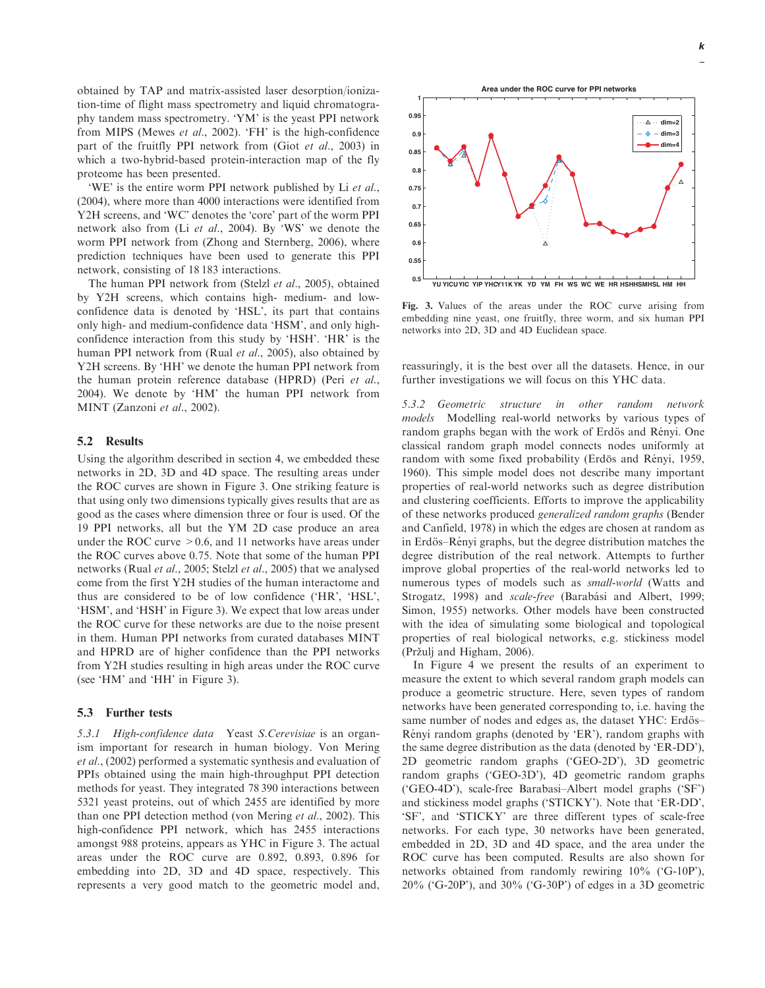obtained by TAP and matrix-assisted laser desorption/ionization-time of flight mass spectrometry and liquid chromatography tandem mass spectrometry. 'YM' is the yeast PPI network from MIPS (Mewes et al., 2002). 'FH' is the high-confidence part of the fruitfly PPI network from (Giot et al., 2003) in which a two-hybrid-based protein-interaction map of the fly proteome has been presented.

'WE' is the entire worm PPI network published by Li et al., (2004), where more than 4000 interactions were identified from Y2H screens, and 'WC' denotes the 'core' part of the worm PPI network also from (Li et al., 2004). By 'WS' we denote the worm PPI network from (Zhong and Sternberg, 2006), where prediction techniques have been used to generate this PPI network, consisting of 18 183 interactions.

The human PPI network from (Stelzl et al., 2005), obtained by Y2H screens, which contains high- medium- and lowconfidence data is denoted by 'HSL', its part that contains only high- and medium-confidence data 'HSM', and only highconfidence interaction from this study by 'HSH'. 'HR' is the human PPI network from (Rual et al., 2005), also obtained by Y2H screens. By 'HH' we denote the human PPI network from the human protein reference database (HPRD) (Peri et al., 2004). We denote by 'HM' the human PPI network from MINT (Zanzoni et al., 2002).

#### 5.2 Results

Using the algorithm described in section 4, we embedded these networks in 2D, 3D and 4D space. The resulting areas under the ROC curves are shown in Figure 3. One striking feature is that using only two dimensions typically gives results that are as good as the cases where dimension three or four is used. Of the 19 PPI networks, all but the YM 2D case produce an area under the ROC curve  $> 0.6$ , and 11 networks have areas under the ROC curves above 0.75. Note that some of the human PPI networks (Rual et al., 2005; Stelzl et al., 2005) that we analysed come from the first Y2H studies of the human interactome and thus are considered to be of low confidence ('HR', 'HSL', 'HSM', and 'HSH' in Figure 3). We expect that low areas under the ROC curve for these networks are due to the noise present in them. Human PPI networks from curated databases MINT and HPRD are of higher confidence than the PPI networks from Y2H studies resulting in high areas under the ROC curve (see 'HM' and 'HH' in Figure 3).

### 5.3 Further tests

5.3.1 High-confidence data Yeast S.Cerevisiae is an organism important for research in human biology. Von Mering et al., (2002) performed a systematic synthesis and evaluation of PPIs obtained using the main high-throughput PPI detection methods for yeast. They integrated 78 390 interactions between 5321 yeast proteins, out of which 2455 are identified by more than one PPI detection method (von Mering et al., 2002). This high-confidence PPI network, which has 2455 interactions amongst 988 proteins, appears as YHC in Figure 3. The actual areas under the ROC curve are 0.892, 0.893, 0.896 for embedding into 2D, 3D and 4D space, respectively. This represents a very good match to the geometric model and,

**1 0.95**  $\Delta$ **dim=2 0.9 dim=3 dim=4 0.85 0.8**  $\lambda$ **0.75 0.7 0.65**  $\mathbf{0}$ **0.55 0.5 YU YICUYIC YIP YHCY11K YK YD YM FH WS WC WE HR HSHHSMHSL HM HH**

**Area under the ROC curve for PPI networks**

Fig. 3. Values of the areas under the ROC curve arising from embedding nine yeast, one fruitfly, three worm, and six human PPI networks into 2D, 3D and 4D Euclidean space.

reassuringly, it is the best over all the datasets. Hence, in our further investigations we will focus on this YHC data.

5.3.2 Geometric structure in other random network models Modelling real-world networks by various types of random graphs began with the work of Erdös and Rényi. One classical random graph model connects nodes uniformly at random with some fixed probability (Erdös and Rényi, 1959, 1960). This simple model does not describe many important properties of real-world networks such as degree distribution and clustering coefficients. Efforts to improve the applicability of these networks produced generalized random graphs (Bender and Canfield, 1978) in which the edges are chosen at random as in Erdös–Rényi graphs, but the degree distribution matches the degree distribution of the real network. Attempts to further improve global properties of the real-world networks led to numerous types of models such as small-world (Watts and Strogatz, 1998) and *scale-free* (Barabási and Albert, 1999; Simon, 1955) networks. Other models have been constructed with the idea of simulating some biological and topological properties of real biological networks, e.g. stickiness model (Pržulj and Higham, 2006).

In Figure 4 we present the results of an experiment to measure the extent to which several random graph models can produce a geometric structure. Here, seven types of random networks have been generated corresponding to, i.e. having the same number of nodes and edges as, the dataset YHC: Erdös-Rényi random graphs (denoted by 'ER'), random graphs with the same degree distribution as the data (denoted by 'ER-DD'), 2D geometric random graphs ('GEO-2D'), 3D geometric random graphs ('GEO-3D'), 4D geometric random graphs ('GEO-4D'), scale-free Barabasi–Albert model graphs ('SF') and stickiness model graphs ('STICKY'). Note that 'ER-DD', 'SF', and 'STICKY' are three different types of scale-free networks. For each type, 30 networks have been generated, embedded in 2D, 3D and 4D space, and the area under the ROC curve has been computed. Results are also shown for networks obtained from randomly rewiring 10% ('G-10P'), 20% ('G-20P'), and 30% ('G-30P') of edges in a 3D geometric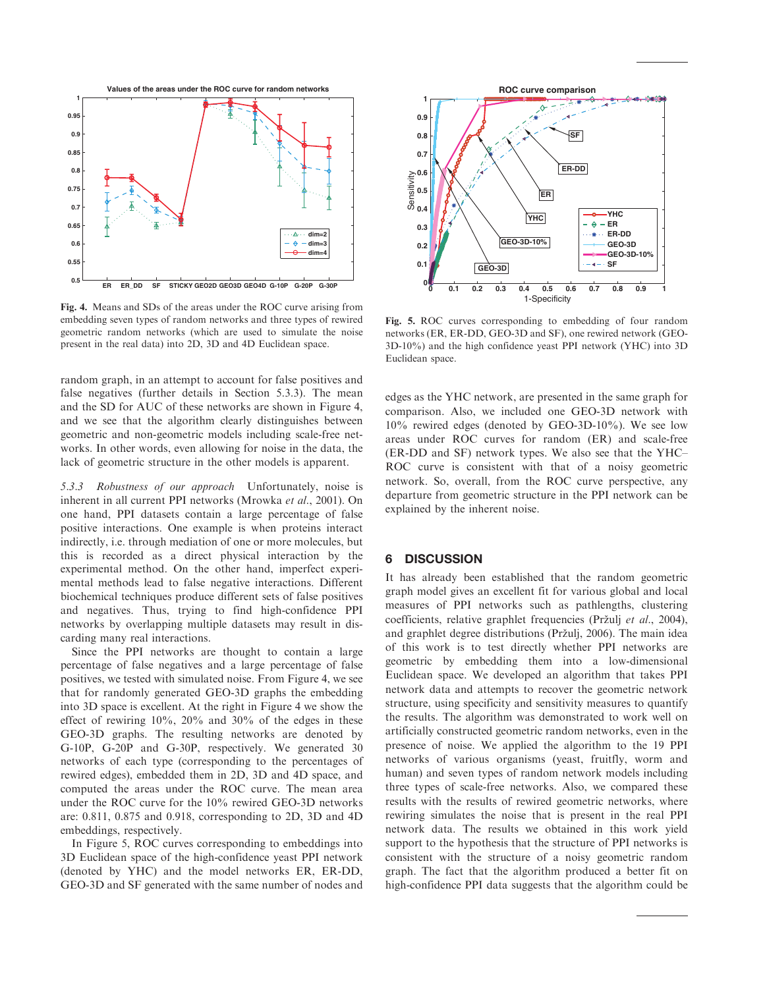

Fig. 4. Means and SDs of the areas under the ROC curve arising from embedding seven types of random networks and three types of rewired geometric random networks (which are used to simulate the noise present in the real data) into 2D, 3D and 4D Euclidean space.

random graph, in an attempt to account for false positives and false negatives (further details in Section 5.3.3). The mean and the SD for AUC of these networks are shown in Figure 4, and we see that the algorithm clearly distinguishes between geometric and non-geometric models including scale-free networks. In other words, even allowing for noise in the data, the lack of geometric structure in the other models is apparent.

5.3.3 Robustness of our approach Unfortunately, noise is inherent in all current PPI networks (Mrowka et al., 2001). On one hand, PPI datasets contain a large percentage of false positive interactions. One example is when proteins interact indirectly, i.e. through mediation of one or more molecules, but this is recorded as a direct physical interaction by the experimental method. On the other hand, imperfect experimental methods lead to false negative interactions. Different biochemical techniques produce different sets of false positives and negatives. Thus, trying to find high-confidence PPI networks by overlapping multiple datasets may result in discarding many real interactions.

Since the PPI networks are thought to contain a large percentage of false negatives and a large percentage of false positives, we tested with simulated noise. From Figure 4, we see that for randomly generated GEO-3D graphs the embedding into 3D space is excellent. At the right in Figure 4 we show the effect of rewiring 10%, 20% and 30% of the edges in these GEO-3D graphs. The resulting networks are denoted by G-10P, G-20P and G-30P, respectively. We generated 30 networks of each type (corresponding to the percentages of rewired edges), embedded them in 2D, 3D and 4D space, and computed the areas under the ROC curve. The mean area under the ROC curve for the 10% rewired GEO-3D networks are: 0.811, 0.875 and 0.918, corresponding to 2D, 3D and 4D embeddings, respectively.

In Figure 5, ROC curves corresponding to embeddings into 3D Euclidean space of the high-confidence yeast PPI network (denoted by YHC) and the model networks ER, ER-DD, GEO-3D and SF generated with the same number of nodes and



Fig. 5. ROC curves corresponding to embedding of four random networks (ER, ER-DD, GEO-3D and SF), one rewired network (GEO-3D-10%) and the high confidence yeast PPI network (YHC) into 3D Euclidean space.

edges as the YHC network, are presented in the same graph for comparison. Also, we included one GEO-3D network with 10% rewired edges (denoted by GEO-3D-10%). We see low areas under ROC curves for random (ER) and scale-free (ER-DD and SF) network types. We also see that the YHC– ROC curve is consistent with that of a noisy geometric network. So, overall, from the ROC curve perspective, any departure from geometric structure in the PPI network can be explained by the inherent noise.

## 6 DISCUSSION

It has already been established that the random geometric graph model gives an excellent fit for various global and local measures of PPI networks such as pathlengths, clustering coefficients, relative graphlet frequencies (Pržulj et al., 2004), and graphlet degree distributions (Pržulj, 2006). The main idea of this work is to test directly whether PPI networks are geometric by embedding them into a low-dimensional Euclidean space. We developed an algorithm that takes PPI network data and attempts to recover the geometric network structure, using specificity and sensitivity measures to quantify the results. The algorithm was demonstrated to work well on artificially constructed geometric random networks, even in the presence of noise. We applied the algorithm to the 19 PPI networks of various organisms (yeast, fruitfly, worm and human) and seven types of random network models including three types of scale-free networks. Also, we compared these results with the results of rewired geometric networks, where rewiring simulates the noise that is present in the real PPI network data. The results we obtained in this work yield support to the hypothesis that the structure of PPI networks is consistent with the structure of a noisy geometric random graph. The fact that the algorithm produced a better fit on high-confidence PPI data suggests that the algorithm could be